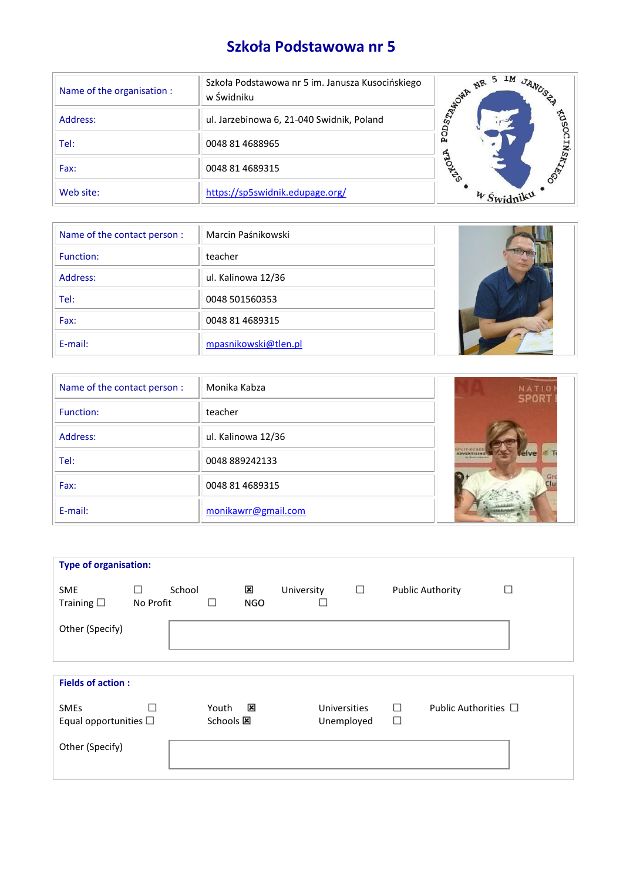# **Szkoła Podstawowa nr 5**

| Name of the organisation : | Szkoła Podstawowa nr 5 im. Janusza Kusocińskiego<br>w Świdniku | IM JANUSS<br>5<br><b>DISTINGUIRE NR</b> |
|----------------------------|----------------------------------------------------------------|-----------------------------------------|
| Address:                   | ul. Jarzebinowa 6, 21-040 Swidnik, Poland                      | 6950                                    |
| Tel:                       | 0048 81 4688965                                                | o<br>д<br>ZN                            |
| Fax:                       | 0048 81 4689315                                                | <b>RAL</b>                              |
| Web site:                  | https://sp5swidnik.edupage.org/                                |                                         |

| Name of the contact person : | Marcin Paśnikowski   |  |
|------------------------------|----------------------|--|
| Function:                    | teacher              |  |
| Address:                     | ul. Kalinowa 12/36   |  |
| Tel:                         | 0048 501560353       |  |
| Fax:                         | 0048 81 4689315      |  |
| E-mail:                      | mpasnikowski@tlen.pl |  |

| Name of the contact person: | Monika Kabza        | NATIO<br><b>SPORT</b> |
|-----------------------------|---------------------|-----------------------|
| Function:                   | teacher             |                       |
| Address:                    | ul. Kalinowa 12/36  |                       |
| Tel:                        | 0048 889242133      | <b>Laive</b>          |
| Fax:                        | 0048 81 4689315     |                       |
| E-mail:                     | monikawrr@gmail.com |                       |

| <b>Type of organisation:</b>              |                |        |                    |                 |            |                            |        |             |                           |  |
|-------------------------------------------|----------------|--------|--------------------|-----------------|------------|----------------------------|--------|-------------|---------------------------|--|
| <b>SME</b><br>Training $\square$          | П<br>No Profit | School | П                  | ×<br><b>NGO</b> | University |                            | $\Box$ |             | <b>Public Authority</b>   |  |
| Other (Specify)                           |                |        |                    |                 |            |                            |        |             |                           |  |
| <b>Fields of action:</b>                  |                |        |                    |                 |            |                            |        |             |                           |  |
| <b>SMEs</b><br>Equal opportunities $\Box$ |                |        | Youth<br>Schools E | ×               |            | Universities<br>Unemployed |        | $\Box$<br>□ | Public Authorities $\Box$ |  |
| Other (Specify)                           |                |        |                    |                 |            |                            |        |             |                           |  |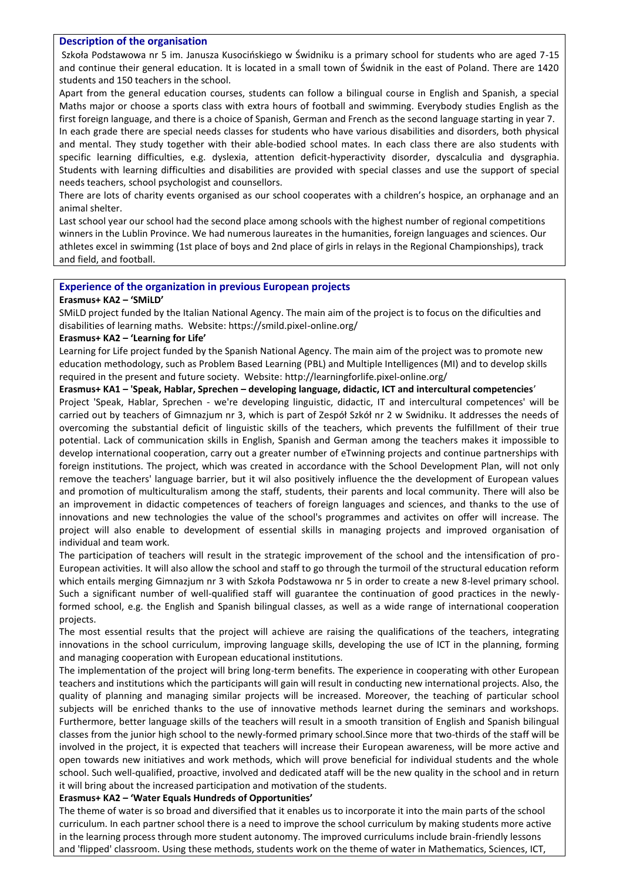## **Description of the organisation**

Szkoła Podstawowa nr 5 im. Janusza Kusocińskiego w Świdniku is a primary school for students who are aged 7-15 and continue their general education. It is located in a small town of Świdnik in the east of Poland. There are 1420 students and 150 teachers in the school.

Apart from the general education courses, students can follow a bilingual course in English and Spanish, a special Maths major or choose a sports class with extra hours of football and swimming. Everybody studies English as the first foreign language, and there is a choice of Spanish, German and French as the second language starting in year 7. In each grade there are special needs classes for students who have various disabilities and disorders, both physical and mental. They study together with their able-bodied school mates. In each class there are also students with specific learning difficulties, e.g. dyslexia, attention deficit-hyperactivity disorder, dyscalculia and dysgraphia.

Students with learning difficulties and disabilities are provided with special classes and use the support of special needs teachers, school psychologist and counsellors.

There are lots of charity events organised as our school cooperates with a children's hospice, an orphanage and an animal shelter.

Last school year our school had the second place among schools with the highest number of regional competitions winners in the Lublin Province. We had numerous laureates in the humanities, foreign languages and sciences. Our athletes excel in swimming (1st place of boys and 2nd place of girls in relays in the Regional Championships), track and field, and football.

## **Experience of the organization in previous European projects**

## **Erasmus+ KA2 – 'SMiLD'**

SMiLD project funded by the Italian National Agency. The main aim of the project is to focus on the dificulties and disabilities of learning maths. Website: https://smild.pixel-online.org/

## **Erasmus+ KA2 – 'Learning for Life'**

Learning for Life project funded by the Spanish National Agency. The main aim of the project was to promote new education methodology, such as Problem Based Learning (PBL) and Multiple Intelligences (MI) and to develop skills required in the present and future society. Website:<http://learningforlife.pixel-online.org/>

## **Erasmus+ KA1 – 'Speak, Hablar, Sprechen – developing language, didactic, ICT and intercultural competencies**'

Project 'Speak, Hablar, Sprechen - we're developing linguistic, didactic, IT and intercultural competences' will be carried out by teachers of Gimnazjum nr 3, which is part of Zespół Szkół nr 2 w Swidniku. It addresses the needs of overcoming the substantial deficit of linguistic skills of the teachers, which prevents the fulfillment of their true potential. Lack of communication skills in English, Spanish and German among the teachers makes it impossible to develop international cooperation, carry out a greater number of eTwinning projects and continue partnerships with foreign institutions. The project, which was created in accordance with the School Development Plan, will not only remove the teachers' language barrier, but it wil also positively influence the the development of European values and promotion of multiculturalism among the staff, students, their parents and local community. There will also be an improvement in didactic competences of teachers of foreign languages and sciences, and thanks to the use of innovations and new technologies the value of the school's programmes and activites on offer will increase. The project will also enable to development of essential skills in managing projects and improved organisation of individual and team work.

The participation of teachers will result in the strategic improvement of the school and the intensification of pro-European activities. It will also allow the school and staff to go through the turmoil of the structural education reform which entails merging Gimnazjum nr 3 with Szkoła Podstawowa nr 5 in order to create a new 8-level primary school. Such a significant number of well-qualified staff will guarantee the continuation of good practices in the newlyformed school, e.g. the English and Spanish bilingual classes, as well as a wide range of international cooperation projects.

The most essential results that the project will achieve are raising the qualifications of the teachers, integrating innovations in the school curriculum, improving language skills, developing the use of ICT in the planning, forming and managing cooperation with European educational institutions.

The implementation of the project will bring long-term benefits. The experience in cooperating with other European teachers and institutions which the participants will gain will result in conducting new international projects. Also, the quality of planning and managing similar projects will be increased. Moreover, the teaching of particular school subjects will be enriched thanks to the use of innovative methods learnet during the seminars and workshops. Furthermore, better language skills of the teachers will result in a smooth transition of English and Spanish bilingual classes from the junior high school to the newly-formed primary school.Since more that two-thirds of the staff will be involved in the project, it is expected that teachers will increase their European awareness, will be more active and open towards new initiatives and work methods, which will prove beneficial for individual students and the whole school. Such well-qualified, proactive, involved and dedicated ataff will be the new quality in the school and in return it will bring about the increased participation and motivation of the students.

# **Erasmus+ KA2 – 'Water Equals Hundreds of Opportunities'**

The theme of water is so broad and diversified that it enables us to incorporate it into the main parts of the school curriculum. In each partner school there is a need to improve the school curriculum by making students more active in the learning process through more student autonomy. The improved curriculums include brain-friendly lessons and 'flipped' classroom. Using these methods, students work on the theme of water in Mathematics, Sciences, ICT,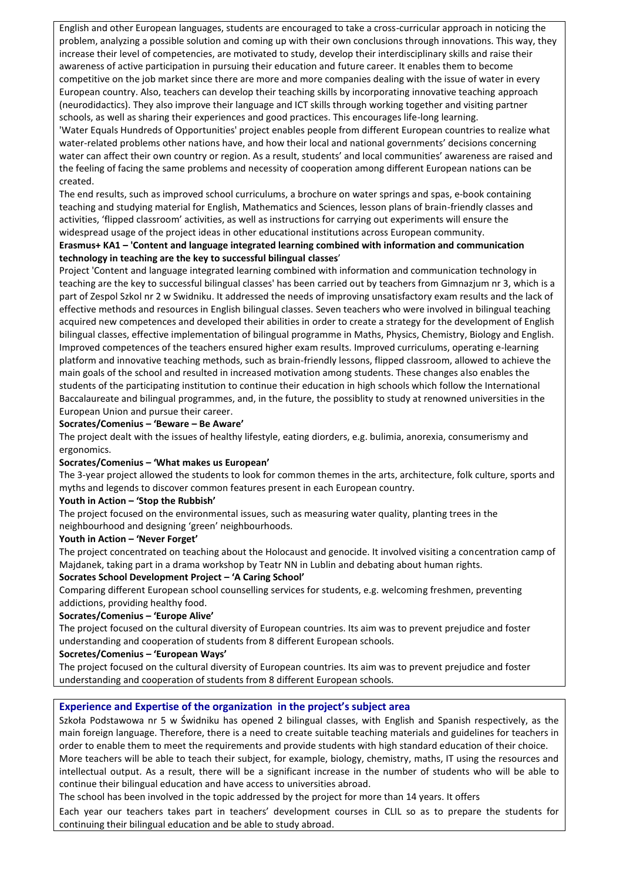English and other European languages, students are encouraged to take a cross-curricular approach in noticing the problem, analyzing a possible solution and coming up with their own conclusions through innovations. This way, they increase their level of competencies, are motivated to study, develop their interdisciplinary skills and raise their awareness of active participation in pursuing their education and future career. It enables them to become competitive on the job market since there are more and more companies dealing with the issue of water in every European country. Also, teachers can develop their teaching skills by incorporating innovative teaching approach (neurodidactics). They also improve their language and ICT skills through working together and visiting partner schools, as well as sharing their experiences and good practices. This encourages life-long learning. 'Water Equals Hundreds of Opportunities' project enables people from different European countries to realize what water-related problems other nations have, and how their local and national governments' decisions concerning water can affect their own country or region. As a result, students' and local communities' awareness are raised and the feeling of facing the same problems and necessity of cooperation among different European nations can be created.

The end results, such as improved school curriculums, a brochure on water springs and spas, e-book containing teaching and studying material for English, Mathematics and Sciences, lesson plans of brain-friendly classes and activities, 'flipped classroom' activities, as well as instructions for carrying out experiments will ensure the widespread usage of the project ideas in other educational institutions across European community.

# **Erasmus+ KA1 – 'Content and language integrated learning combined with information and communication technology in teaching are the key to successful bilingual classes**'

Project 'Content and language integrated learning combined with information and communication technology in teaching are the key to successful bilingual classes' has been carried out by teachers from Gimnazjum nr 3, which is a part of Zespol Szkol nr 2 w Swidniku. It addressed the needs of improving unsatisfactory exam results and the lack of effective methods and resources in English bilingual classes. Seven teachers who were involved in bilingual teaching acquired new competences and developed their abilities in order to create a strategy for the development of English bilingual classes, effective implementation of bilingual programme in Maths, Physics, Chemistry, Biology and English. Improved competences of the teachers ensured higher exam results. Improved curriculums, operating e-learning platform and innovative teaching methods, such as brain-friendly lessons, flipped classroom, allowed to achieve the main goals of the school and resulted in increased motivation among students. These changes also enables the students of the participating institution to continue their education in high schools which follow the International Baccalaureate and bilingual programmes, and, in the future, the possiblity to study at renowned universities in the European Union and pursue their career.

# **Socrates/Comenius – 'Beware – Be Aware'**

The project dealt with the issues of healthy lifestyle, eating diorders, e.g. bulimia, anorexia, consumerismy and ergonomics.

#### **Socrates/Comenius – 'What makes us European'**

The 3-year project allowed the students to look for common themes in the arts, architecture, folk culture, sports and myths and legends to discover common features present in each European country.

#### **Youth in Action – 'Stop the Rubbish'**

The project focused on the environmental issues, such as measuring water quality, planting trees in the neighbourhood and designing 'green' neighbourhoods.

#### **Youth in Action – 'Never Forget'**

The project concentrated on teaching about the Holocaust and genocide. It involved visiting a concentration camp of Majdanek, taking part in a drama workshop by Teatr NN in Lublin and debating about human rights.

#### **Socrates School Development Project – 'A Caring School'**

Comparing different European school counselling services for students, e.g. welcoming freshmen, preventing addictions, providing healthy food.

# **Socrates/Comenius – 'Europe Alive'**

The project focused on the cultural diversity of European countries. Its aim was to prevent prejudice and foster understanding and cooperation of students from 8 different European schools.

#### **Socretes/Comenius – 'European Ways'**

The project focused on the cultural diversity of European countries. Its aim was to prevent prejudice and foster understanding and cooperation of students from 8 different European schools.

# **Experience and Expertise of the organization in the project's subject area**

Szkoła Podstawowa nr 5 w Świdniku has opened 2 bilingual classes, with English and Spanish respectively, as the main foreign language. Therefore, there is a need to create suitable teaching materials and guidelines for teachers in order to enable them to meet the requirements and provide students with high standard education of their choice. More teachers will be able to teach their subject, for example, biology, chemistry, maths, IT using the resources and intellectual output. As a result, there will be a significant increase in the number of students who will be able to continue their bilingual education and have access to universities abroad.

The school has been involved in the topic addressed by the project for more than 14 years. It offers

Each year our teachers takes part in teachers' development courses in CLIL so as to prepare the students for continuing their bilingual education and be able to study abroad.